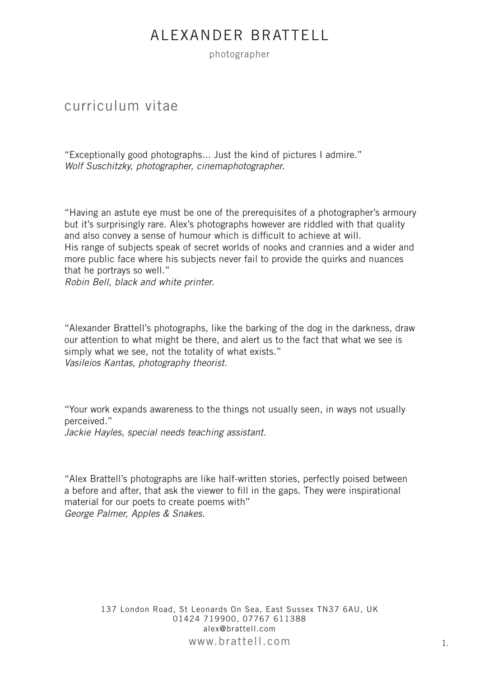photographer

### curriculum vitae

"Exceptionally good photographs... Just the kind of pictures I admire." *Wolf Suschitzky, photographer, cinemaphotographer.*

"Having an astute eye must be one of the prerequisites of a photographer's armoury but it's surprisingly rare. Alex's photographs however are riddled with that quality and also convey a sense of humour which is difficult to achieve at will. His range of subjects speak of secret worlds of nooks and crannies and a wider and more public face where his subjects never fail to provide the quirks and nuances that he portrays so well."

*Robin Bell, black and white printer.*

"Alexander Brattell's photographs, like the barking of the dog in the darkness, draw our attention to what might be there, and alert us to the fact that what we see is simply what we see, not the totality of what exists." *Vasileios Kantas, photography theorist.*

"Your work expands awareness to the things not usually seen, in ways not usually perceived."

*Jackie Hayles, special needs teaching assistant.*

"Alex Brattell's photographs are like half-written stories, perfectly poised between a before and after, that ask the viewer to fill in the gaps. They were inspirational material for our poets to create poems with" *George Palmer, Apples & Snakes.*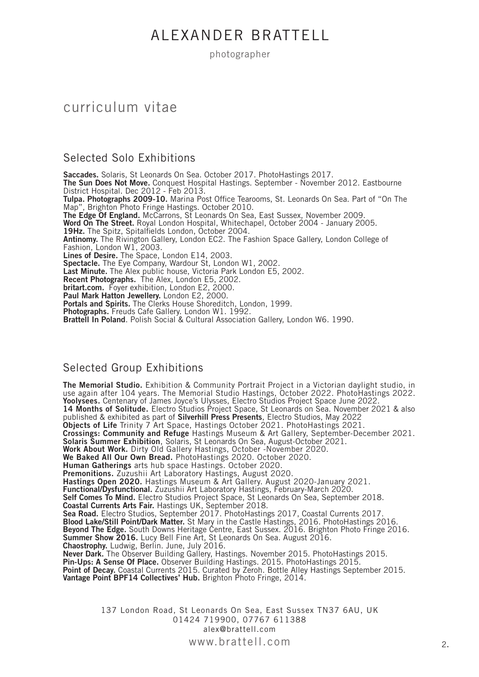photographer

### curriculum vitae

#### Selected Solo Exhibitions

**Saccades.** Solaris, St Leonards On Sea. October 2017. PhotoHastings 2017. **The Sun Does Not Move.** Conquest Hospital Hastings. September - November 2012. Eastbourne District Hospital. Dec 2012 - Feb 2013. **Tulpa. Photographs 2009-10.** Marina Post Office Tearooms, St. Leonards On Sea. Part of "On The Map", Brighton Photo Fringe Hastings. October 2010. **The Edge Of England.** McCarrons, St Leonards On Sea, East Sussex, November 2009. **Word On The Street.** Royal London Hospital, Whitechapel, October 2004 - January 2005. **19Hz.** The Spitz, Spitalfields London, October 2004. **Antinomy.** The Rivington Gallery, London EC2. The Fashion Space Gallery, London College of Fashion, London W1, 2003. **Lines of Desire.** The Space, London E14, 2003. **Spectacle.** The Eye Company, Wardour St, London W1, 2002. **Last Minute.** The Alex public house, Victoria Park London E5, 2002. **Recent Photographs.** The Alex, London E5, 2002. **britart.com.** Foyer exhibition, London E2, 2000. **Paul Mark Hatton Jewellery.** London E2, 2000. Portals and Spirits. The Clerks House Shoreditch, London, 1999. **Photographs.** Freuds Cafe Gallery. London W1. 1992. **Brattell In Poland**. Polish Social & Cultural Association Gallery, London W6. 1990.

#### Selected Group Exhibitions

**The Memorial Studio.** Exhibition & Community Portrait Project in a Victorian daylight studio, in use again after 104 years. The Memorial Studio Hastings, October 2022. PhotoHastings 2022. **Yoolysees.** Centenary of James Joyce's Ulysses, Electro Studios Project Space June 2022. **14 Months of Solitude.** Electro Studios Project Space, St Leonards on Sea. November 2021 & also published & exhibited as part of **Silverhill Press Presents**, Electro Studios, May 2022 **Objects of Life** Trinity 7 Art Space, Hastings October 2021. PhotoHastings 2021. **Crossings: Community and Refuge** Hastings Museum & Art Gallery, September-December 2021. **Solaris Summer Exhibition**, Solaris, St Leonards On Sea, August-October 2021. **Work About Work.** Dirty Old Gallery Hastings, October -November 2020. **We Baked All Our Own Bread.** PhotoHastings 2020. October 2020. **Human Gatherings** arts hub space Hastings. October 2020. **Premonitions.** Zuzushii Art Laboratory Hastings, August 2020. **Hastings Open 2020.** Hastings Museum & Art Gallery. August 2020-January 2021. **Functional/Dysfunctional.** Zuzushii Art Laboratory Hastings, February-March 2020. **Self Comes To Mind.** Electro Studios Project Space, St Leonards On Sea, September 2018. **Coastal Currents Arts Fair.** Hastings UK, September 2018. **Sea Road.** Electro Studios, September 2017. PhotoHastings 2017, Coastal Currents 2017. **Blood Lake/Still Point/Dark Matter.** St Mary in the Castle Hastings, 2016. PhotoHastings 2016. **Beyond The Edge.** South Downs Heritage Centre, East Sussex. 2016. Brighton Photo Fringe 2016. **Summer Show 2016.** Lucy Bell Fine Art, St Leonards On Sea. August 2016. **Chaostrophy.** Ludwig, Berlin. June, July 2016. **Never Dark.** The Observer Building Gallery, Hastings. November 2015. PhotoHastings 2015. **Pin-Ups: A Sense Of Place.** Observer Building Hastings. 2015. PhotoHastings 2015. **Point of Decay.** Coastal Currents 2015. Curated by Zeroh. Bottle Alley Hastings September 2015. **Vantage Point BPF14 Collectives' Hub.** Brighton Photo Fringe, 2014.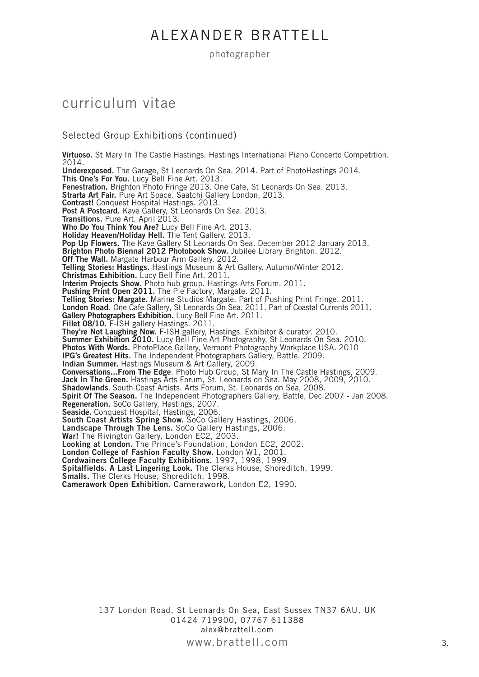photographer

#### curriculum vitae

#### Selected Group Exhibitions (continued)

**Virtuoso.** St Mary In The Castle Hastings. Hastings International Piano Concerto Competition. 2014. **Underexposed.** The Garage, St Leonards On Sea. 2014. Part of PhotoHastings 2014. **This One's For You.** Lucy Bell Fine Art. 2013. Fenestration. Brighton Photo Fringe 2013. One Cafe, St Leonards On Sea. 2013. **Strarta Art Fair.** Pure Art Space. Saatchi Gallery London, 2013. **Contrast!** Conquest Hospital Hastings. 2013. **Post A Postcard.** Kave Gallery, St Leonards On Sea. 2013. **Transitions.** Pure Art. April 2013. **Who Do You Think You Are?** Lucy Bell Fine Art. 2013. **Holiday Heaven/Holiday Hell.** The Tent Gallery. 2013. **Pop Up Flowers.** The Kave Gallery St Leonards On Sea. December 2012-January 2013. **Brighton Photo Biennal 2012 Photobook Show.** Jubilee Library Brighton. 2012. **Off The Wall.** Margate Harbour Arm Gallery. 2012. **Telling Stories: Hastings.** Hastings Museum & Art Gallery. Autumn/Winter 2012. **Christmas Exhibition.** Lucy Bell Fine Art. 2011. **Interim Projects Show.** Photo hub group. Hastings Arts Forum. 2011. **Pushing Print Open 2011.** The Pie Factory, Margate. 2011. **Telling Stories: Margate.** Marine Studios Margate. Part of Pushing Print Fringe. 2011. **London Road.** One Cafe Gallery, St Leonards On Sea. 2011. Part of Coastal Currents 2011. **Gallery Photographers Exhibition.** Lucy Bell Fine Art. 2011. **Fillet 08/10.** F-ISH gallery Hastings. 2011. **They're Not Laughing Now.** F-ISH gallery, Hastings. Exhibitor & curator. 2010. **Summer Exhibition 2010.** Lucy Bell Fine Art Photography, St Leonards On Sea. 2010. **Photos With Words.** PhotoPlace Gallery, Vermont Photography Workplace USA. 2010 **IPG's Greatest Hits.** The Independent Photographers Gallery, Battle. 2009. **Indian Summer.** Hastings Museum & Art Gallery, 2009. **Conversations...From The Edge**. Photo Hub Group, St Mary In The Castle Hastings, 2009. **Jack In The Green.** Hastings Arts Forum, St. Leonards on Sea. May 2008, 2009, 2010. **Shadowlands**. South Coast Artists. Arts Forum, St. Leonards on Sea, 2008. **Spirit Of The Season.** The Independent Photographers Gallery, Battle, Dec 2007 - Jan 2008. **Regeneration.** SoCo Gallery, Hastings, 2007. **Seaside.** Conquest Hospital, Hastings, 2006. **South Coast Artists Spring Show.** SoCo Gallery Hastings, 2006. **Landscape Through The Lens.** SoCo Gallery Hastings, 2006. **War!** The Rivington Gallery, London EC2, 2003. **Looking at London.** The Prince's Foundation, London EC2, 2002. **London College of Fashion Faculty Show.** London W1, 2001. **Cordwainers College Faculty Exhibitions.** 1997, 1998, 1999. **Spitalfields. A Last Lingering Look.** The Clerks House, Shoreditch, 1999. **Smalls.** The Clerks House, Shoreditch, 1998. **Camerawork Open Exhibition.** Camerawork, London E2, 1990.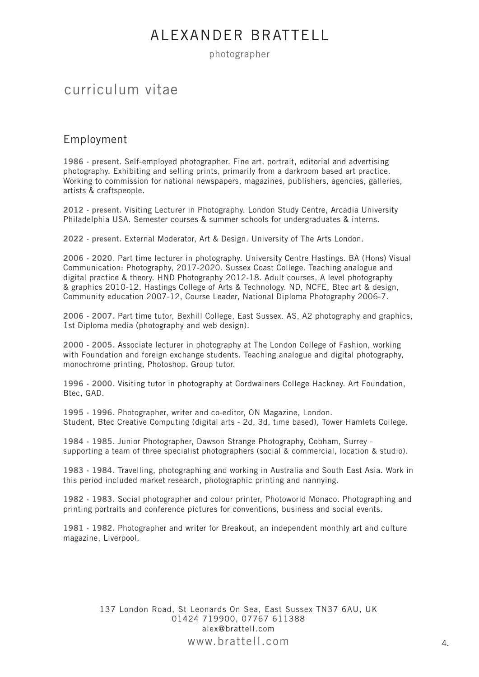photographer

### curriculum vitae

#### Employment

**1986 - present.** Self-employed photographer. Fine art, portrait, editorial and advertising photography. Exhibiting and selling prints, primarily from a darkroom based art practice. Working to commission for national newspapers, magazines, publishers, agencies, galleries, artists & craftspeople.

**2012 - present.** Visiting Lecturer in Photography. London Study Centre, Arcadia University Philadelphia USA. Semester courses & summer schools for undergraduates & interns.

**2022 - present.** External Moderator, Art & Design. University of The Arts London.

**2006 - 2020**. Part time lecturer in photography. University Centre Hastings. BA (Hons) Visual Communication: Photography, 2017-2020. Sussex Coast College. Teaching analogue and digital practice & theory. HND Photography 2012-18. Adult courses, A level photography & graphics 2010-12. Hastings College of Arts & Technology. ND, NCFE, Btec art & design, Community education 2007-12, Course Leader, National Diploma Photography 2006-7.

**2006 - 2007.** Part time tutor, Bexhill College, East Sussex. AS, A2 photography and graphics, 1st Diploma media (photography and web design).

**2000 - 2005.** Associate lecturer in photography at The London College of Fashion, working with Foundation and foreign exchange students. Teaching analogue and digital photography, monochrome printing, Photoshop. Group tutor.

**1996 - 2000.** Visiting tutor in photography at Cordwainers College Hackney. Art Foundation, Btec, GAD.

**1995 - 1996.** Photographer, writer and co-editor, ON Magazine, London. Student, Btec Creative Computing (digital arts - 2d, 3d, time based), Tower Hamlets College.

**1984 - 1985.** Junior Photographer, Dawson Strange Photography, Cobham, Surrey supporting a team of three specialist photographers (social & commercial, location & studio).

**1983 - 1984.** Travelling, photographing and working in Australia and South East Asia. Work in this period included market research, photographic printing and nannying.

**1982 - 1983.** Social photographer and colour printer, Photoworld Monaco. Photographing and printing portraits and conference pictures for conventions, business and social events.

**1981 - 1982.** Photographer and writer for Breakout, an independent monthly art and culture magazine, Liverpool.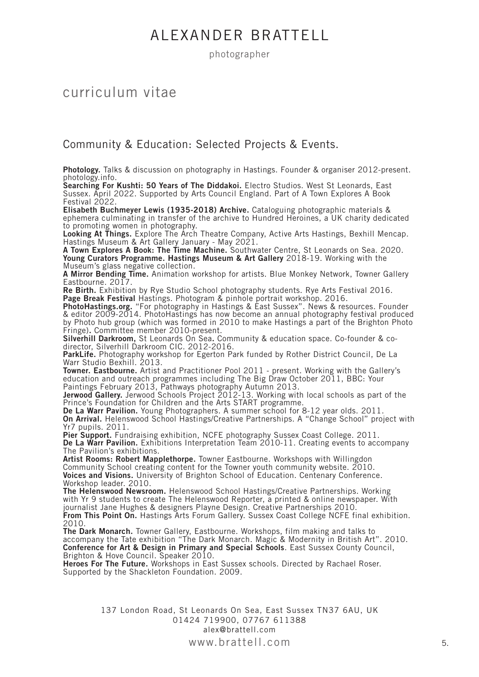photographer

### curriculum vitae

#### Community & Education: Selected Projects & Events.

**Photology.** Talks & discussion on photography in Hastings. Founder & organiser 2012-present. photology.info.

**Searching For Kushti: 50 Years of The Diddakoi.** Electro Studios. West St Leonards, East Sussex. April 2022. Supported by Arts Council England. Part of A Town Explores A Book Festival 2022.

**Elisabeth Buchmeyer Lewis (1935-2018) Archive.** Cataloguing photographic materials & ephemera culminating in transfer of the archive to Hundred Heroines, a UK charity dedicated to promoting women in photography.

**Looking At Things.** Explore The Arch Theatre Company, Active Arts Hastings, Bexhill Mencap. Hastings Museum & Art Gallery January - May 2021.

**A Town Explores A Book: The Time Machine.** Southwater Centre, St Leonards on Sea. 2020. **Young Curators Programme. Hastings Museum & Art Gallery** 2018-19. Working with the Museum's glass negative collection.

**A Mirror Bending Time.** Animation workshop for artists. Blue Monkey Network, Towner Gallery Eastbourne. 2017.

**Re Birth.** Exhibition by Rye Studio School photography students. Rye Arts Festival 2016. **Page Break Festival** Hastings. Photogram & pinhole portrait workshop. 2016.

**PhotoHastings.org.** "For photography in Hastings & East Sussex". News & resources. Founder & editor 2009-2014. PhotoHastings has now become an annual photography festival produced by Photo hub group (which was formed in 2010 to make Hastings a part of the Brighton Photo Fringe)**.** Committee member 2010-present.

**Silverhill Darkroom,** St Leonards On Sea**.** Community & education space. Co-founder & codirector, Silverhill Darkroom CIC. 2012-2016.

**ParkLife.** Photography workshop for Egerton Park funded by Rother District Council, De La Warr Studio Bexhill. 2013.

**Towner. Eastbourne.** Artist and Practitioner Pool 2011 - present. Working with the Gallery's education and outreach programmes including The Big Draw October 2011, BBC: Your Paintings February 2013, Pathways photography Autumn 2013.

**Jerwood Gallery.** Jerwood Schools Project 2012-13. Working with local schools as part of the Prince's Foundation for Children and the Arts START programme.

**De La Warr Pavilion.** Young Photographers. A summer school for 8-12 year olds. 2011. **On Arrival.** Helenswood School Hastings/Creative Partnerships. A "Change School" project with Yr7 pupils. 2011.

**Pier Support.** Fundraising exhibition, NCFE photography Sussex Coast College. 2011. De La Warr Pavilion. Exhibitions Interpretation Team 2010-11. Creating events to accompany The Pavilion's exhibitions.

**Artist Rooms: Robert Mapplethorpe.** Towner Eastbourne. Workshops with Willingdon Community School creating content for the Towner youth community website. 2010. **Voices and Visions.** University of Brighton School of Education. Centenary Conference. Workshop leader. 2010.

**The Helenswood Newsroom.** Helenswood School Hastings/Creative Partnerships. Working with Yr 9 students to create The Helenswood Reporter, a printed & online newspaper. With journalist Jane Hughes & designers Playne Design. Creative Partnerships 2010. **From This Point On.** Hastings Arts Forum Gallery. Sussex Coast College NCFE final exhibition. 2010.

**The Dark Monarch.** Towner Gallery, Eastbourne. Workshops, film making and talks to accompany the Tate exhibition "The Dark Monarch. Magic & Modernity in British Art". 2010. **Conference for Art & Design in Primary and Special Schools**. East Sussex County Council, Brighton & Hove Council. Speaker 2010.

**Heroes For The Future.** Workshops in East Sussex schools. Directed by Rachael Roser. Supported by the Shackleton Foundation. 2009.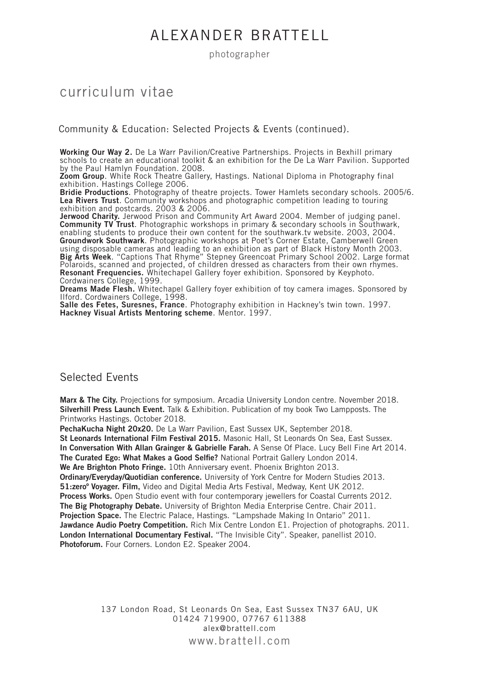photographer

### curriculum vitae

Community & Education: Selected Projects & Events (continued).

**Working Our Way 2.** De La Warr Pavilion/Creative Partnerships. Projects in Bexhill primary schools to create an educational toolkit & an exhibition for the De La Warr Pavilion. Supported by the Paul Hamlyn Foundation. 2008.

**Zoom Group**. White Rock Theatre Gallery, Hastings. National Diploma in Photography final exhibition. Hastings College 2006.

**Bridie Productions**. Photography of theatre projects. Tower Hamlets secondary schools. 2005/6. **Lea Rivers Trust**. Community workshops and photographic competition leading to touring exhibition and postcards. 2003 & 2006.

Jerwood Charity. Jerwood Prison and Community Art Award 2004. Member of judging panel. **Community TV Trust**. Photographic workshops in primary & secondary schools in Southwark, enabling students to produce their own content for the southwark.tv website. 2003, 2004. **Groundwork Southwark**. Photographic workshops at Poet's Corner Estate, Camberwell Green using disposable cameras and leading to an exhibition as part of Black History Month 2003. **Big Arts Week**. "Captions That Rhyme" Stepney Greencoat Primary School 2002. Large format Polaroids, scanned and projected, of children dressed as characters from their own rhymes. **Resonant Frequencies.** Whitechapel Gallery foyer exhibition. Sponsored by Keyphoto. Cordwainers College, 1999.

**Dreams Made Flesh.** Whitechapel Gallery foyer exhibition of toy camera images. Sponsored by Ilford. Cordwainers College, 1998.

**Salle des Fetes, Suresnes, France**. Photography exhibition in Hackney's twin town. 1997. **Hackney Visual Artists Mentoring scheme**. Mentor. 1997.

#### Selected Events

**Marx & The City.** Projections for symposium. Arcadia University London centre. November 2018. **Silverhill Press Launch Event.** Talk & Exhibition. Publication of my book Two Lampposts. The Printworks Hastings. October 2018.

**PechaKucha Night 20x20.** De La Warr Pavilion, East Sussex UK, September 2018.

**St Leonards International Film Festival 2015.** Masonic Hall, St Leonards On Sea, East Sussex.

**In Conversation With Allan Grainger & Gabrielle Farah.** A Sense Of Place. Lucy Bell Fine Art 2014.

**The Curated Ego: What Makes a Good Selfie?** National Portrait Gallery London 2014.

**We Are Brighton Photo Fringe.** 10th Anniversary event. Phoenix Brighton 2013.

**Ordinary/Everyday/Quotidian conference.** University of York Centre for Modern Studies 2013. **51:zeroº Voyager. Film,** Video and Digital Media Arts Festival, Medway, Kent UK 2012. **Process Works.** Open Studio event with four contemporary jewellers for Coastal Currents 2012. **The Big Photography Debate.** University of Brighton Media Enterprise Centre. Chair 2011. **Projection Space.** The Electric Palace, Hastings. "Lampshade Making In Ontario" 2011. **Jawdance Audio Poetry Competition.** Rich Mix Centre London E1. Projection of photographs. 2011. **London International Documentary Festival.** "The Invisible City". Speaker, panellist 2010. **Photoforum.** Four Corners. London E2. Speaker 2004.